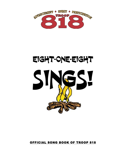



OFFICIAL SONG BOOK OF TROOP 818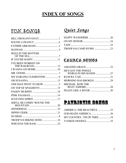# **INDEX OF SONGS**

## FUN SONGS

| HOLE IN THE BOTTOM          |  |
|-----------------------------|--|
|                             |  |
| I'VE BEEN WORKIN' ON        |  |
|                             |  |
|                             |  |
| MY DARLING CLEMENTINE 9     |  |
|                             |  |
|                             |  |
| ON TOP OF SPAGHETTI 15      |  |
|                             |  |
|                             |  |
|                             |  |
| SHE'LL BE COMIN' 'ROUND THE |  |
|                             |  |
|                             |  |
|                             |  |
| TROOP 818 HIKING SONG  16   |  |
|                             |  |
|                             |  |

## *Quiet Songs*

## CHURCH SONGS

| <b>HE'S GOT THE WHOLE</b> |  |
|---------------------------|--|
| WORLD IN HIS HANDS 27     |  |
|                           |  |
| MORNING HAS BROKEN 29     |  |
| MICHAEL, ROW THE          |  |
|                           |  |
|                           |  |

## PATRIOTIC SONGS

| AMERICA, THE BEAUTIFUL 33   |  |
|-----------------------------|--|
| GOD BLESS AMERICA 36        |  |
| MY COUNTRY, 'TIS OF THEE 34 |  |
|                             |  |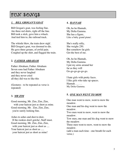## FUN SONGS

## *1. BILL GROGAN'S GOAT*

Bill Grogan's goat, was feeling fine. Ate three red shirts, right off the line. Bill took a stick, gave him a whack. And tied him to, the railroad track.

The whistle blew, the train drew nigh'. Bill Grogan's goat, was doomed to die. He gave three groans, of awful pain. Coughed up the shirt, and flagged the train.

## **2.** *FATHER ABRAHAM*

Father Abraham, Father Abraham Seven sons had Father Abraham and they never laughed and they never cried all they did was to like this

(Gestures - to be repeated as verse is repeated)

## **3.** *MR ZIM*

Good morning, Mr. Zim, Zim, Zim, with your haircut just as short as mine. Good morning, Mr. Zim, Zim, Zim, you're surely looking fine.

Ashes to ashes and dust to dust, If the rookies don't getcha', Staff must. Good morning, Mr. Zim, Zim, Zim, with your haircut just as short as .... Your haircut just as short as ..... your haircut just as short as mine!

### **4.** *HANNAH*

Oh, ho ho Hannah, My Delta Gamma. She has a figure, Like a baby grand piana'.

She's really nifty, She weighs 250. But somehow fat girls Get the best of me.

Oh, ho ho Hannah, My Delta Gamma. I put my arms around her far as they will Go-go-go-go-go-go.

I hate girls with pretty faces. I like girls who take up spaces. Hannah. . . . . . My Delta Gamma.

## **5.** *ONE MAN WENT TO MOW*

One man went to mow, went to mow the meadow. One man and his dog went to mow the meadow. Two men went to mow, went to mow the meadow. Tow men, one man and his dog went to mow the meadow. Three men went to mow, went to mow the meadow. (add a man each time - one breath for each verse.)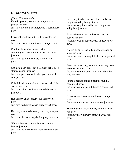## **6.** *FOUND A PEANUT*

*(*Tune: "Clementine") Found a peanut, found a peanut, found a peanut just now. Just now I found a peanut, found a peanut just now.

It was rotten, it was rotten, it was rotten just now.

Just now it was rotten, it was rotten just now.

Continue in similar manner with:

Ate it anyway, ate it anyway, ate it anyway just now.

Just now ate it anyway, ate it anyway just now.

Got a stomach ache, got a stomach ache, got a stomach ache just now.

Just now got a stomach ache, got a stomach ache just now.

Called the doctor, called the doctor, called the doctor just now.

Just now called the doctor, called the doctor just now.

Had surgery, had surgery, had surgery just now.

Just now had surgery, had surgery just now.

Died anyway, died anyway, died anyway just now.

Just now died anyway, died anyway just now.

Went to heaven, went to heaven, went to heaven just now.

Just now went to heaven, went to heaven just now.

Forgot my teddy bear, forgot my teddy bear, forgot my teddy bear just now. Just now forgot my teddy bear, forgot my teddy bear just now.

Back in heaven, back in heaven, back in heaven just now. Just now back in heaven, back in heaven just now.

Kicked an angel, kicked an angel, kicked an angel just now. Just now kicked an angel, kicked an angel just now.

Went the other way, went the other way, went the other way just now. Just now went the other way, went the other way just now.

Found a peanut, found a peanut, found a peanut just now.

Just now found a peanut, found a peanut just now.

It was rotten, it was rotten, it was rotten just now.

Just now it was rotten, it was rotten just now.

Threw it away, threw it away, threw it away just now.

Just now threw it away, threw it away just now.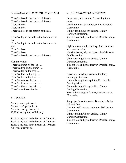### **7.** *HOLE IN THE BOTTOM OF THE SEA*

There's a hole in the bottom of the sea. There's a hole in the bottom of the sea. There's a hole There's a hole There's a hole in the bottom of the sea.

There's a log in the hole in the bottom of the sea. There's a log in the hole in the bottom of the sea. There's a hole There's a hole There's a hole in the bottom of the sea.

Continue with: There's a bump on the  $log \ldots$ There's a frog on the bump . . . There's a leg on the frog ... There's a foot on the leg ... There's a toe on the foot . . . There's a wart on the toe ... There's a hair on the wart There's a flea on the hair ... There's a smile on the flea...

## **8.** *SO HIGH*

So high, can't get over it. So low, can't get under it. So wide, can't get around it. O, Rock-a' my soul - Oh Lordy.

Rock-a' my soul in the bosom of Abraham, Rock-a' my soul in the bosom of Abraham, Rock-a' my soul in the bosom of Abraham, Oh, rock-a' my soul.

#### *9. MY DARLING CLEMENTINE*

In a cavern, in a canyon, Excavating for a mine, Dwelt a miner, forty niner, and his daughter Clementine. Oh my darling, Oh my darling, Oh my Darling Clementine, You are lost and gone forever, Dreadful sorry, Clementine.

Light she was and like a fairy, And her shoes were number nine; Her ring boxes, without topses, Sandals were for Clementine. Oh my darling, Oh my darling, Oh my Darling Clementine, You are lost and gone forever, Dreadful sorry, Clementine.

Drove she ducklings to the water, Ev'ry morning just at nine, Hit her foot against a splinter, Fell into the foaming brine. Oh my darling, Oh my darling, Oh my Darling Clementine, You are lost and gone forever, Dreadful sorry, Clementine.

Ruby lips above the water, Blowing bubbles soft and fine; Alas for me! I was no swimmer, So I lost my Clementine. Oh my darling, Oh my darling, Oh my Darling Clementine, You are lost and gone forever, Dreadful sorry, Clementine.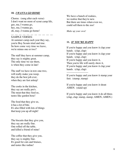#### **10.** *I WANNA GO HOME*

Chorus: (sung after each verse) I don't want no more of scout camp life, gee, ma, I wanna go, hey, ma, I wanna go, oh, may, I wanna go home!

#### \_\_ \_\_ \_\_ \_\_ \_\_ \_\_ \_\_ \_\_ \_\_ \_\_ \_\_ SAMPLE VERSES:

At summer camp each year they say, you're Boy Scouts tried and true. So how come very time we leave, we're minus one or two?

The staff they have at summer camp, they say is mighty great. The only time we see them, is when they come in late!

The staff we have in tow-one-two, will really make you weep. they do the best job ever, when they are fast asleep!

The cooks in the kitchen, they say are really pro's. The meat that they feed us, tastes like garden hose!

The food that they give us, it has a lot of bite. It's also filled with lots of things that keep you up all night!

The biscuits that they give you, they say are really fine. One rolled off the table, and killed a friend of mine!

The coffee that they give you, they say is mighty fine. It's good for cuts and bruises, and tastes like iodine!

We have a bunch of rookies, we realize that they're new. But there are times when even we, could sell them to the zoo!

*Make up your own!*

#### **11.** *IF YOU'RE HAPPY*

If you're happy and you know it clap your hands. (clap, clap) If you're happy and you know it clap your hands. (clap, clap) If you're happy and you know it, Then you're life will surely show it, If you're happy and you know it clap your hands. (clap, clap)

-------------------------

If you're happy and you know it stamp your feet. (stamp, stamp)

If you're happy and you know it shout AMEN. (stand up)

If you're happy and you know it do all three. (clap, clap; stamp, stamp; AMEN, AMEN.)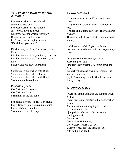### **12.** *I'VE BEEN WORKIN' ON THE RAILROAD*

I've been workin' on the railroad all the live long day, I've been workin' on the railroad Just to pass the time away; Can;t you hear the whistle blowing? Rise up so early in the morn; Can't you hear the captain shouting; "Dinah blow your horn!"

Dinah won't you blow, Dinah won't you blow,

Dinah won't you blow your horn, your horn! Dinah won't you blow, Dinah won't you blow, Dinah won't you blow your horn!

Someone's in the kitchen with Dinah, Someone's in the kitchen I know; Someone's in the kitchen with Dinah,

Fee-fi-fiddely-I-oh! Fee-fi-fiddely-I-o-o-o-oh! Fee-fi-fiddely-I-oh! Strummin' on the old banjo.

Strummin on the old banjo.

Fee-plunk, fi-plunk, fiddely-I-oh plunk! Fee-fi-fiddely-I-oh, plunk, plunk, plunk! Fee...fi...fiddely-I-ohhh... Strummin' on the old banjo.

## **13.** *OH! SUSANNA*

I came from Alabama wid my banjo on my knee,

I'm g'wan to Louisiana My true love for to see,

It rained all night the day I left, The weather it was dry

The sun so hot I froze to death; Susanna don't you cry.

Oh! Susanna Oh! don't you cry for me, I've come from Alabama wid my banjo on my knee.

I had a dream the other night, when everything was still I thought I saw Susanna, A comin down the hill, the buck-wheat cake was in her mouth, The tear was in her eye; Say I, I'm coming from the South, Susanna don't you cry.

## **14.** *PINK PAJAMAS*

I wear my pink pajamas in the summer when it's hot. I wear my flannel nighties in the winter when it's not. And sometimes in the springtime and sometimes in the fall, I jump right in between the sheets with nothing on at all. Ooooooooo Glory, glory Hallelujah; Glory, glory, what's it to you. Balmy breezes blowing through you, with nothing on at all.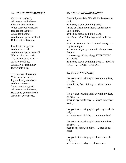## **15.** *ON TOP OF SPAGHETTI*

On top of spaghetti, All covered with cheese I lost my poor meatball When somebody sneezed. It rolled off the table And onto the floor, And then my poor meatball Rolled out of the door.

It rolled in the garden And under a bush And then my poor meatball Was nothing but mush. The mush was as tasty - - - As tasty could be, And early next summer It grew into a tree.

The tree was all covered With beautiful moss; It grew lovely meatballs And tomato sauce. So if you eat spaghetti All covered with cheese, Hold on to your meatballs And don't ever sneeze.

#### **16.** *TROOP 818 HIKING SONG*

Over hill, over dale, We will hit the scouting trail, as the boy scouts go hiking along. In and out, hear them shout, Tenderfoot to Eagle Scout, as the boy scouts go hiking along. For it's hi! hi! hee!, the boy scout trails we see, shout out your numbers loud and strong . . . . eight-one-eight!! and where er' you go, you will always know, that the boy scouts go hiking along, KEEP THEM HIKING!!, as the boy scouts go hiking along . . . TROOP HALT!! . . . EIGHT-ONE-OH!!

#### **17.** *SCOUTING SPIRIT*

I've got that scouting spirit down in my feet, oh baby . . . . down in my feet, oh baby . . . .down in my feet.

I've got that scouting spirit down in my feet, oh baby . . . . down in my feet to stay . . . .down in my feet to stay.

I've got that scouting spirit up in my head, oh baby . . . .

up in my head, oh baby  $\dots$  up in my head.

I've got that scouting spirit deep in my heart, oh baby . . . .

deep in my heart, oh baby . . . . deep in my heart.

I've got that scouting spirit all over me, oh  $b$ aby  $\dots$ all over me, oh baby . . . .all over me.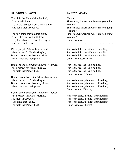#### **18.** *PADDY MURPHY*

The night that Paddy Murphy died; I never will forget it! The whole darn town got stinkin' drunk, and some aren't sober yet!

The only thing they did that night, That filled my heart with fear. They took the ice right off the corpse, and put it on the beer!

Oh, oh, oh, that's how they showed their respect for Paddy Murphy, Boom, boom, that's how they shoed their honor and their pride.

Boom, boom, boom, that's how they showed their respect for Paddy Murphy, The night that Paddy died.

Boom, boom, boom, that's how they showed their respect for Paddy Murphy, Boom, boom, that's how they showed their honor and their pride.

Boom, boom, boom, that's how they showed their respect for Paddy Murphy, The night that Paddy, The night that Paddy, The night that Paddy died!

#### **19.** *SINNERMAN*

Chorus: Sinnerman, Sinnerman where are you going to run to? Sinnerman, Sinnerman where are you going to run to? Sinnerman, Sinnerman where are you going to run to? Oh on that day. -- -- -- -- -- -- -- -- -- -- -- -- -- -- -- --

-- -- Run to the hills, the hills are crumbling, Run to the hills, the hills are crumbling, Run to the hills, the hills are crumbling, Oh on that day. (Chorus)

Run to the sea, the sea is boiling, Run to the sea, the sea is boiling, Run to the sea, the sea is boiling, Oh on that day. (Chorus)

Run to the moon, the moon is bleeding, Run to the moon, the moon is bleeding, Run to the moon, the moon is bleeding, Oh on that day.(Chorus)

Run to the alley, the alley is thundering, Run to the alley, the alley is thundering, Run to the alley, the alley is thundering, Oh on that day.(Chorus)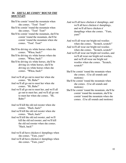#### **20.** *SHE'LL BE COMIN' 'ROUND THE MOUNTAIN*

She'll be comin' 'round the mountain when she comes. "Toot! Toot!"

She'll be comin' 'round the mountain when she comes. "Toot! Toot!"

She'll be comin' 'round the mountain, she'll be comin' 'round the mountain, she'll be comin' 'round the mountain when she comes. "Toot! Toot!"

She'll be driving six white horses when she comes. "Whoa, back!"

She'll be driving six white horses when she comes. "Whoa, back!"

She'll be driving six white horses, she'll be driving six white horses, she'll be driving six white horses when she comes. "Whoa, back!"

And we'll all go out to meet her when she comes. "Hi, Babe!"

And we'll all go out to meet her when she comes. "Hi, Babe!"

And we'll all go out to meet her, and we'll all go out to meet her, and we'll all go out to meet her when she comes. "Hi, Babe!"

And we'll kill the old red rooster when she comes. "Hack, hack!"

And we'll kill the old red rooster when she comes. "Hack, hack!"

And we'll kill the old red rooster, and we'll kill the old red rooster, and we'll kill the old red rooster when she comes. "Hack, hack!"

And we'll all have chicken n' dumplings when she comes. "Yum, yum!"

And we'll all have chicken n' dumplings when she comes. "Yum, yum!"

And we'll all have chicken n' dumplings, and we'll all have chicken n' dumplings, and we'll all have chicken n' dumplings when she comes. "Yum, yum!"

And we'll all wear our bright red woolies when she comes. "Scratch, scratch!"

And we'll all wear our bright red woolies when she comes. "Scratch, scratch!"

And we'll all wear our bright red woolies, and we'll all wear our bright red woolies, and we'll all wear our bright red woolies when she comes. "Scratch, scratch!"

She'll be comin' 'round the mountain when she comes. (Use all sounds and motions)

She'll be comin' 'round the mountain when she comes. (Use all sounds and motions)

She'll be comin' 'round the mountain, she'll be comin' 'round the mountain, she'll be comin' 'round the mountain when she comes. (Use all sounds and motions)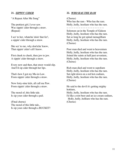#### **21.** *SIPPIN' CIDER*

"A Repeat After Me Song"

The prettiest girl, I ever saw. Was sippin' cider through a straw. (Repeat)

I sez' to her, whatcha' doin' that fer!, a sippin' cider through a straw.

She sez' to me, why don'tcha' know, That sippin' cider's all I know.

First cheek to cheek, then jaw to jaw. A sippin' cider through a straw.

Every now and then, that straw would slip. And I'd sip cider through her lips.

That's how I got my Ma-in-Law. From sippin' cider through a straw.

Now forty-nine kids, all call me Paw. From sippin' cider through a straw.

The moral of, this little tale. Is sip your cider through a pail.

(Final chorus) The moral of this little tale., Is sip your cider through a BUCKET!

### **22.** *WHO HAS THE RAM*

(Chorus)

Who has the ram - Who has the ram. Holly, holly, hooliam who has the ram.

-- -- -- -- -- -- -- -- -- -- -- -- -- -- -- --

Solomon sat in the Temple of Gideon Holly, holly, hoolium who has the ram. Sat so long he got spinal menagilliam Holly, holly, hoolium who has the ram. (Chorus)

Poor man died and went to heavenium Holly, holly, hoolium who has the ram. Joined the saints at half past sevenium, Holly, holly, hoolium who has the ram. (Chorus)

Rich man died and went to supolium Holly, holly, hoolium who has the ram. Sat right down on a red hot coalium, Holly, holly, hoolium who has the ram. (Chorus)

He said to the devil it's getting mighty hottium, Holly, holly, hoolium who has the ram.

I'd like a root beer and an ice cream sodium, Holly, holly, hollium who has the ram. (Chorus)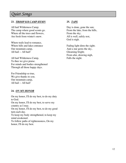## *Quiet Songs*

## **23.** *TROOP 818 CAMP HYMN*

All hail Wilderness Camp; The camp where good scouts go. Where all the trees and flowers, Are fresh from winter's snow.

Where trails lead to romance, Where hills and lakes entrance Our mountain camp, All hail -- All hail!

All hail Wilderness Camp, To thee we give praise. For minds and bodies strengthened Through all those happy days.

For Friendship so true, We give thanks to you. Our mountain camp, All hail -- All hail!

## **24.** *ON MY HONOR*

On my honor, I'll do my best, to do my duty to God.

On my honor, I'll do my best, to serve my country as I may.

On my honor, I'll do my best, to do my good turn each day.

To keep my body strengthened, to keep my mind awakened.

To follow paths of righteousness, On my honor, I'll do my best.

## **25.** *TAPS*

Day is done, gone the sun; From the lake, from the hills, From the sky; All is well, safely rest, God is nigh.

Fading light dims the sight; And a star gems the sky, Gleaming bright; From afar, drawing nigh, Falls the night.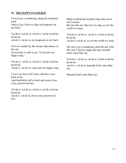## **26.** *THE HAPPY WANDERER*

I love to go a-wandering, along the mountain track.

And as I go, I love to sing, my knapsack on my back.

Val-de ri, val-de ra, val-de ri, val-de ra-ha-haha-ha-ha

val-de ri, val-de ra, my knapsack on my back.

I love to wander by the stream, that dances in the sun.

So joyously it calls to me, "Come join my happy song."

Val-de ri, val-de ra, val-de ri, val-de ra-ha-haha-ha-ha val-de ri, val-de ra, come join my happy song.

I wave my hat to all I meet, and they wave back to me.

And blackbirds call so loud and sweet, from every greenwood tree.

Val-de ri, val-de ra, val-de ri, val-de ra-ha-haha-ha-ha val-de ri, val-de ra, from every greenwood tree.

High overhead the skylark wing, they never rest at home. But just like me, they love to sing, as o'er the

world we roam.

Val-de ri, val-de ra, val-de ri, val-de ra-ha-haha-ha-ha val-de ri, val-de ra, as o'er the world we roam.

Oh, may I go a-wandering, until the day I die. Oh, may I always laugh and sing, beneath God's clear blue sky.

Val-de ri, val-de ra, val-de ri, val-de ra-ha-haha-ha-ha val-de ri, val-de ra, beneath God's clear blue sky.

Beneath God's clear blue sky!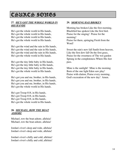# CHURCH SONGS

## **27.** *HE'S GOT THE WHOLE WORLD IN HIS HANDS*

He's got the whole world in His hands, He's got the whole world in His hands, He's got the whole world in His hands, He's got the whole world in His hands.

He's got the wind and the rain in His hands, He's got the wind and the rain in His hands, He's got the wind and the rain in His hands, He's got the whole world in His hands.

He's got the tiny little baby in His hands, He's got the tiny little baby in His hands, He's got the tiny little baby in His hands, He's got the whole world in His hands.

He's got you and me, brother, in His hands, He's got you and me, brother, in His hands, He's got you and me, brother, in His hands, He's got the whole world in His hands.

He's got Troop 818, in His hands, He's got Troop 818, in His hands, He's got Troop 818, in His hands, He's got the whole world in His hands.

### **28.** *MICHAEL, ROW THE BOAT ASHORE*

Michael, row the boat ashore, alleluia! Michael, row the boat ashore, alleluia!

Jordan's river's deep and wide, alleluia! Jordan's river's deep and wide, alleluia!

Jordan's river's chilly and cold, alleluia! Jordan's river's chilly and cold, alleluia!

## **29.** *MORNING HAS BROKEN*

Morning has broken Like the first morning, Blackbird has spoken Like the first bird. Praise for the singing! Praise for the morning! Praise for them, springing Fresh from the Word!

Sweet the rain's new fall Sunlit from heaven, Like the first dew fall On the first grass, Praise for the sweetness of The wet garden Sprung in the completeness Where His feet pass.

Mine is the sunlight! Mine is the morning Born of the one light Eden saw play! Praise with elation, Praise every morning, God's recreation of the new day! Amen.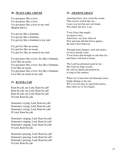#### **30.** *PEACE LIKE A RIVER*

I've got peace like a river, I've got peace like a river, I've got peace like a river in my soul. (Repeat above)

I've got joy like a fountain, I've got joy like a fountain, I've got joy like a fountain in my soul.

I've got live like an ocean, I've got live like an ocean, I've got live like an ocean in my soul

I've got peace like a river, Joy like a fountain, Love like an ocean,

I've got peace like a river, Joy like a fountain, Love like an ocean,

I've got peace like a river, Joy like a fountain, Love like an ocean in my soul.

#### **31.** *KUM BA YAH*

Kum ba yah, my Lord, Kum ba yah! Kum ba yah, my Lord, Kum ba yah! Kum ba yah, my Lord, Kum ba yah! O Lord, Kum ba yah.

Someone's crying, Lord, Kum ba yah! Someone's crying, Lord, Kum ba yah! Someone's crying, Lord, Kum ba yah! O Lord, Kum ba yah.

Someone's singing, Lord, Kum ba yah! Someone's singing, Lord, Kum ba yah! Someone's singing, Lord, Kum ba yah! O Lord, Kum ba yah.

Someone's praying, Lord, Kum ba yah! Someone's praying, Lord, Kum ba yah! Someone's praying, Lord, Kum ba yah! O Lord, Kum ba yah

#### **32.** *AMAZING GRACE*

Amazing Grace, how sweet the sound, That saved a wretch like me.... I once was lost but now am found, Was blind, but now, I see.

T'was Grace that taught... my heart to fear. And Grace, my fears relieved. How precious did that Grace appear... the hour I first believed.

Through many dangers, toils and snares... we have already come. T'was Grace that brought us safe thus far... and Grace will lead us home.

The Lord has promised good to me... His word my hope secures. He will my shield and portion be... as long as life endures.

When we've been here ten thousand years... bright shining as the sun. We've no less days to sing God's praise... then when we've first begun.